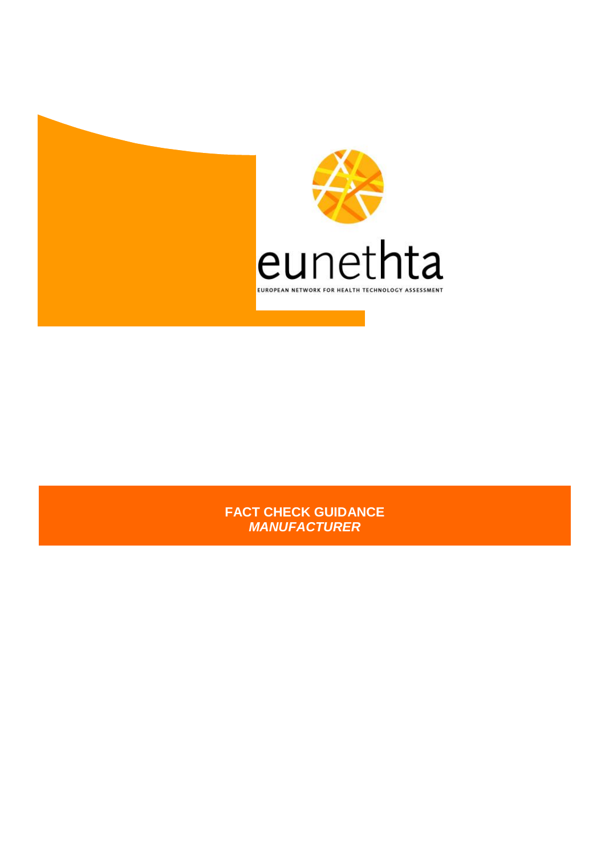



**FACT CHECK GUIDANCE** *MANUFACTURER*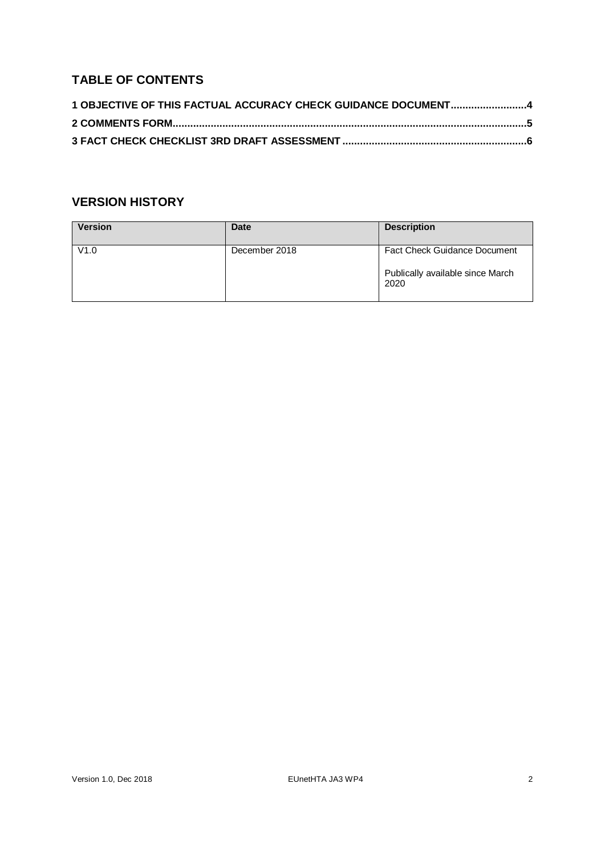# **TABLE OF CONTENTS**

| 1 OBJECTIVE OF THIS FACTUAL ACCURACY CHECK GUIDANCE DOCUMENT4 |  |
|---------------------------------------------------------------|--|
|                                                               |  |
|                                                               |  |

# **VERSION HISTORY**

| <b>Version</b> | Date          | <b>Description</b>                                                              |
|----------------|---------------|---------------------------------------------------------------------------------|
| V1.0           | December 2018 | <b>Fact Check Guidance Document</b><br>Publically available since March<br>2020 |
|                |               |                                                                                 |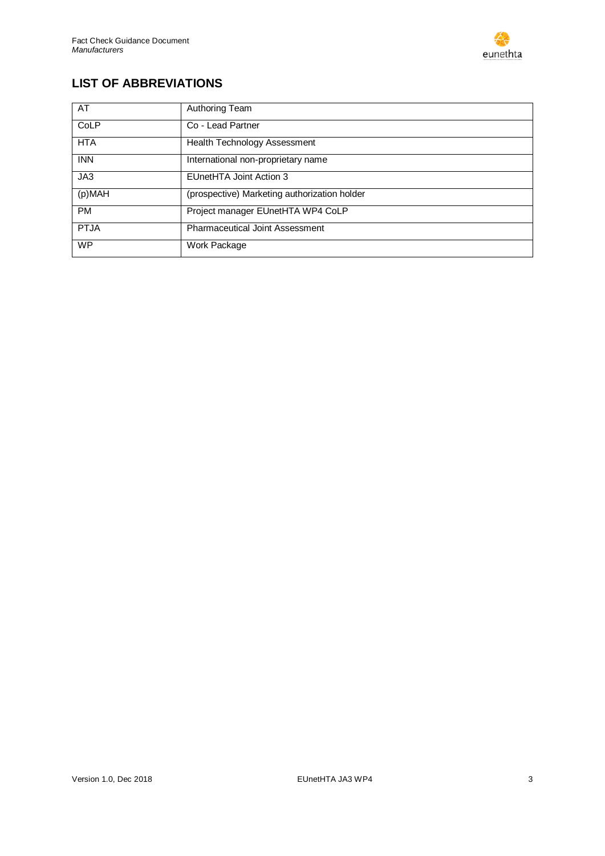

# **LIST OF ABBREVIATIONS**

| AT          | Authoring Team                               |
|-------------|----------------------------------------------|
| CoLP        | Co - Lead Partner                            |
| <b>HTA</b>  | Health Technology Assessment                 |
| <b>INN</b>  | International non-proprietary name           |
| JA3         | EUnetHTA Joint Action 3                      |
| (p)MAH      | (prospective) Marketing authorization holder |
| <b>PM</b>   | Project manager EUnetHTA WP4 CoLP            |
| <b>PTJA</b> | <b>Pharmaceutical Joint Assessment</b>       |
| <b>WP</b>   | Work Package                                 |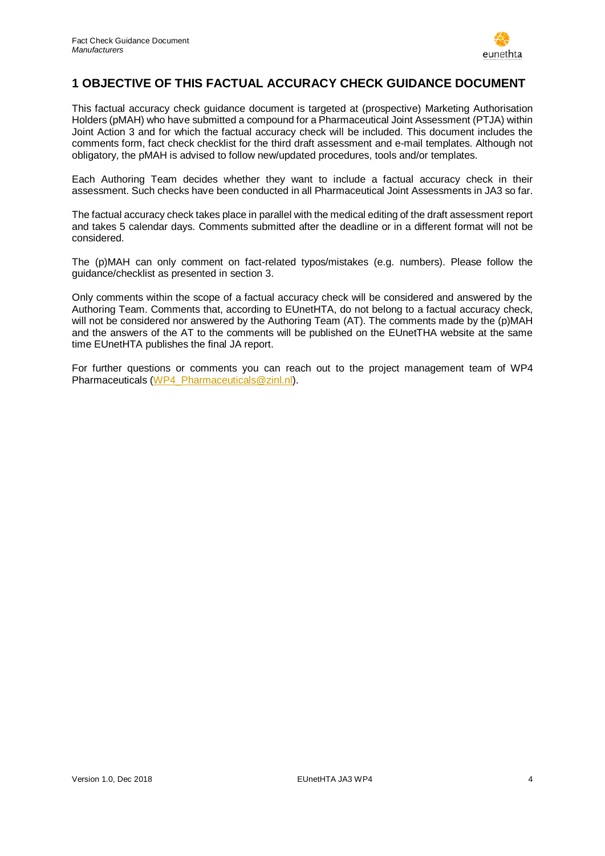

## <span id="page-3-0"></span>**1 OBJECTIVE OF THIS FACTUAL ACCURACY CHECK GUIDANCE DOCUMENT**

This factual accuracy check guidance document is targeted at (prospective) Marketing Authorisation Holders (pMAH) who have submitted a compound for a Pharmaceutical Joint Assessment (PTJA) within Joint Action 3 and for which the factual accuracy check will be included. This document includes the comments form, fact check checklist for the third draft assessment and e-mail templates. Although not obligatory, the pMAH is advised to follow new/updated procedures, tools and/or templates.

Each Authoring Team decides whether they want to include a factual accuracy check in their assessment. Such checks have been conducted in all Pharmaceutical Joint Assessments in JA3 so far.

The factual accuracy check takes place in parallel with the medical editing of the draft assessment report and takes 5 calendar days. Comments submitted after the deadline or in a different format will not be considered.

The (p)MAH can only comment on fact-related typos/mistakes (e.g. numbers). Please follow the guidance/checklist as presented in section [3.](#page-5-0)

Only comments within the scope of a factual accuracy check will be considered and answered by the Authoring Team. Comments that, according to EUnetHTA, do not belong to a factual accuracy check, will not be considered nor answered by the Authoring Team (AT). The comments made by the (p)MAH and the answers of the AT to the comments will be published on the EUnetTHA website at the same time EUnetHTA publishes the final JA report.

For further questions or comments you can reach out to the project management team of WP4 Pharmaceuticals [\(WP4\\_Pharmaceuticals@zinl.nl\)](mailto:WP4_Pharmaceuticals@zinl.nl).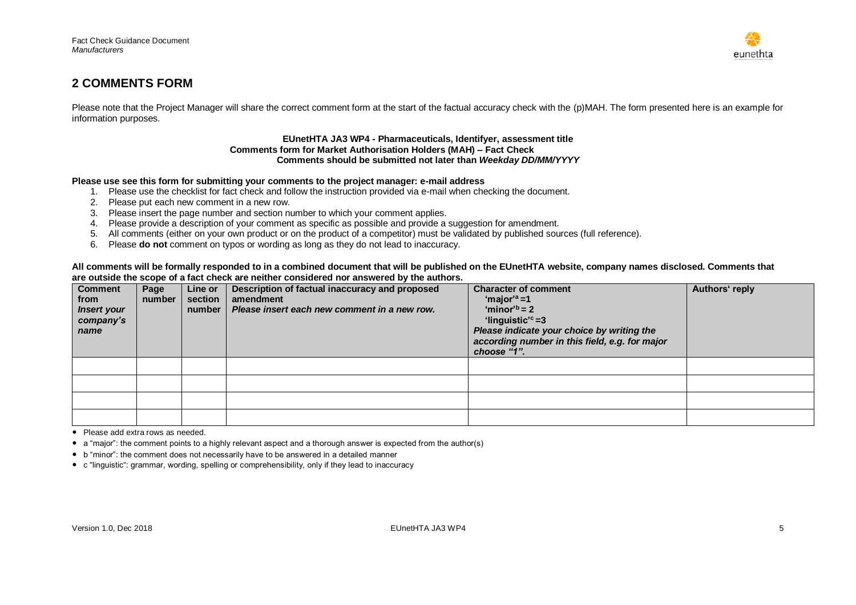

### **2 COMMENTS FORM**

Please note that the Project Manager will share the correct comment form at the start of the factual accuracy check with the (p)MAH. The form presented here is an example for information purposes.

### **EUnetHTA JA3 WP4 - Pharmaceuticals, Identifyer, assessment title Comments form for Market Authorisation Holders (MAH) – Fact Check Comments should be submitted not later than** *Weekday DD/MM/YYYY*

### **Please use see this form for submitting your comments to the project manager: e-mail address**

- 1. Please use the checklist for fact check and follow the instruction provided via e-mail when checking the document.
- 2. Please put each new comment in a new row.
- 3. Please insert the page number and section number to which your comment applies.
- 4. Please provide a description of your comment as specific as possible and provide a suggestion for amendment.
- 5. All comments (either on your own product or on the product of a competitor) must be validated by published sources (full reference).
- 6. Please **do not** comment on typos or wording as long as they do not lead to inaccuracy.

### **All comments will be formally responded to in a combined document that will be published on the EUnetHTA website, company names disclosed. Comments that are outside the scope of a fact check are neither considered nor answered by the authors.**

<span id="page-4-0"></span>

| <b>Comment</b><br>from<br><b>Insert your</b><br>company's<br>name | Page<br>number | Line or<br>section<br>number | Description of factual inaccuracy and proposed<br>amendment<br>Please insert each new comment in a new row. | <b>Character of comment</b><br>'major' <sup>a</sup> =1<br>'minor' <sup>b</sup> = 2<br>'linguistic' <sup>c</sup> =3<br>Please indicate your choice by writing the<br>according number in this field, e.g. for major<br>choose "1". | Authors' reply |
|-------------------------------------------------------------------|----------------|------------------------------|-------------------------------------------------------------------------------------------------------------|-----------------------------------------------------------------------------------------------------------------------------------------------------------------------------------------------------------------------------------|----------------|
|                                                                   |                |                              |                                                                                                             |                                                                                                                                                                                                                                   |                |
|                                                                   |                |                              |                                                                                                             |                                                                                                                                                                                                                                   |                |
|                                                                   |                |                              |                                                                                                             |                                                                                                                                                                                                                                   |                |
|                                                                   |                |                              |                                                                                                             |                                                                                                                                                                                                                                   |                |

• Please add extra rows as needed.

• a "major": the comment points to a highly relevant aspect and a thorough answer is expected from the author(s)

• b "minor": the comment does not necessarily have to be answered in a detailed manner

• c "linguistic": grammar, wording, spelling or comprehensibility, only if they lead to inaccuracy